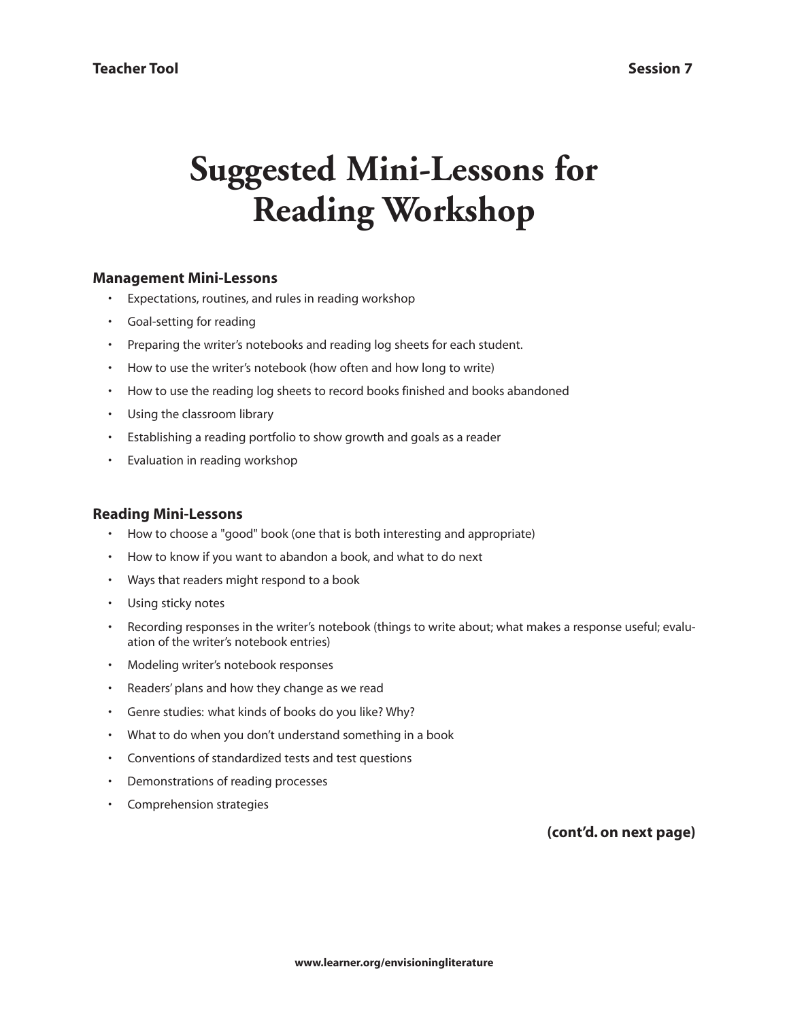# **Suggested Mini-Lessons for Reading Workshop**

## **Management Mini-Lessons**

- Expectations, routines, and rules in reading workshop
- Goal-setting for reading
- Preparing the writer's notebooks and reading log sheets for each student.
- How to use the writer's notebook (how often and how long to write)
- How to use the reading log sheets to record books finished and books abandoned
- Using the classroom library
- Establishing a reading portfolio to show growth and goals as a reader
- Evaluation in reading workshop

## **Reading Mini-Lessons**

- How to choose a "good" book (one that is both interesting and appropriate)
- How to know if you want to abandon a book, and what to do next
- Ways that readers might respond to a book
- Using sticky notes
- Recording responses in the writer's notebook (things to write about; what makes a response useful; evaluation of the writer's notebook entries)
- Modeling writer's notebook responses
- Readers' plans and how they change as we read
- Genre studies: what kinds of books do you like? Why?
- What to do when you don't understand something in a book
- Conventions of standardized tests and test questions
- Demonstrations of reading processes
- Comprehension strategies

**(cont'd. on next page)**